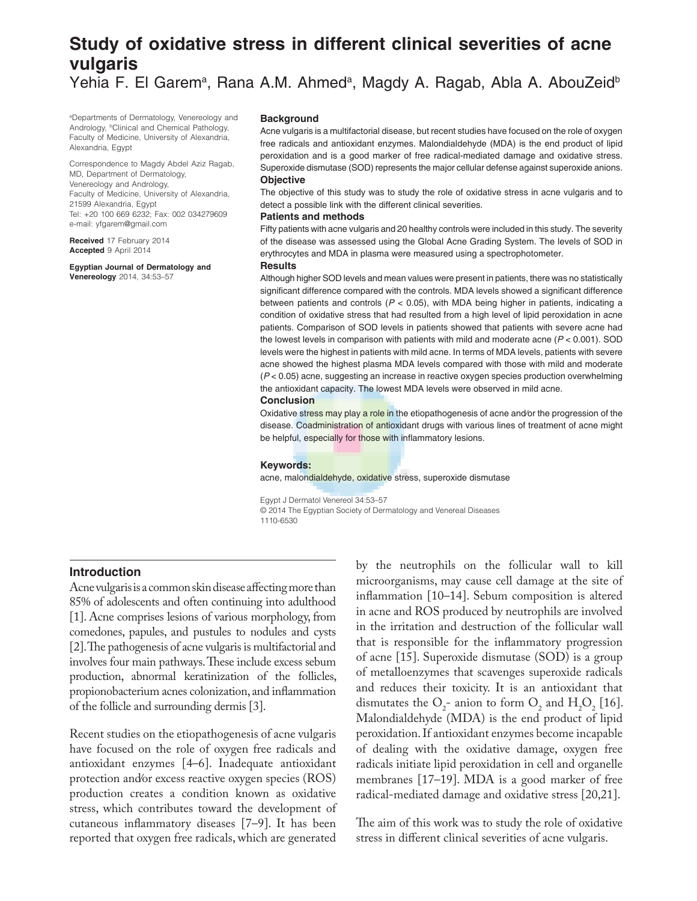# **Study of oxidative stress in different clinical severities of acne vulgaris**

Yehia F. El Garem<sup>a</sup>, Rana A.M. Ahmed<sup>a</sup>, Magdy A. Ragab, Abla A. AbouZeid<sup>b</sup>

a Departments of Dermatology, Venereology and Andrology, <sup>b</sup>Clinical and Chemical Pathology, Faculty of Medicine, University of Alexandria, Alexandria, Egypt

Correspondence to Magdy Abdel Aziz Ragab, MD, Department of Dermatology, Venereology and Andrology, Faculty of Medicine, University of Alexandria, 21599 Alexandria, Egypt Tel: +20 100 669 6232; Fax: 002 034279609 e-mail: yfgarem@gmail.com

**Received** 17 February 2014 **Accepted** 9 April 2014

**Egyptian Journal of Dermatology and Venereology** 2014, 34:53–57

#### **Background**

Acne vulgaris is a multifactorial disease, but recent studies have focused on the role of oxygen free radicals and antioxidant enzymes. Malondialdehyde (MDA) is the end product of lipid peroxidation and is a good marker of free radical-mediated damage and oxidative stress. Superoxide dismutase (SOD) represents the major cellular defense against superoxide anions. **Objective**

The objective of this study was to study the role of oxidative stress in acne vulgaris and to detect a possible link with the different clinical severities.

### **Patients and methods**

Fifty patients with acne vulgaris and 20 healthy controls were included in this study. The severity of the disease was assessed using the Global Acne Grading System. The levels of SOD in erythrocytes and MDA in plasma were measured using a spectrophotometer.

### **Results**

Although higher SOD levels and mean values were present in patients, there was no statistically significant difference compared with the controls. MDA levels showed a significant difference between patients and controls ( $P < 0.05$ ), with MDA being higher in patients, indicating a condition of oxidative stress that had resulted from a high level of lipid peroxidation in acne patients. Comparison of SOD levels in patients showed that patients with severe acne had the lowest levels in comparison with patients with mild and moderate acne  $(P < 0.001)$ . SOD levels were the highest in patients with mild acne. In terms of MDA levels, patients with severe acne showed the highest plasma MDA levels compared with those with mild and moderate (P < 0.05) acne, suggesting an increase in reactive oxygen species production overwhelming the antioxidant capacity. The lowest MDA levels were observed in mild acne.

### **Conclusion**

Oxidative stress may play a role in the etiopathogenesis of acne and/or the progression of the disease. Coadministration of antioxidant drugs with various lines of treatment of acne might be helpful, especially for those with inflammatory lesions.

#### **Keywords:**

acne, malondialdehyde, oxidative stress, superoxide dismutase

Egypt J Dermatol Venereol 34:53–57 © 2014 The Egyptian Society of Dermatology and Venereal Diseases 1110-6530

# **Introduction**

Acne vulgaris is a common skin disease afecting more than 85% of adolescents and often continuing into adulthood [1]. Acne comprises lesions of various morphology, from comedones, papules, and pustules to nodules and cysts [2]. The pathogenesis of acne vulgaris is multifactorial and involves four main pathways. These include excess sebum production, abnormal keratinization of the follicles, propionobacterium acnes colonization, and infammation of the follicle and surrounding dermis [3].

Recent studies on the etiopathogenesis of acne vulgaris have focused on the role of oxygen free radicals and antioxidant enzymes [4–6]. Inadequate antioxidant protection and⁄or excess reactive oxygen species (ROS) production creates a condition known as oxidative stress, which contributes toward the development of cutaneous infammatory diseases [7–9]. It has been reported that oxygen free radicals, which are generated

by the neutrophils on the follicular wall to kill microorganisms, may cause cell damage at the site of infammation [10–14]. Sebum composition is altered in acne and ROS produced by neutrophils are involved in the irritation and destruction of the follicular wall that is responsible for the infammatory progression of acne [15]. Superoxide dismutase (SOD) is a group of metalloenzymes that scavenges superoxide radicals and reduces their toxicity. It is an antioxidant that dismutates the  $O_2$ - anion to form  $O_2$  and  $H_2O_2$  [16]. Malondialdehyde (MDA) is the end product of lipid peroxidation. If antioxidant enzymes become incapable of dealing with the oxidative damage, oxygen free radicals initiate lipid peroxidation in cell and organelle membranes [17–19]. MDA is a good marker of free radical-mediated damage and oxidative stress [20,21].

The aim of this work was to study the role of oxidative stress in diferent clinical severities of acne vulgaris.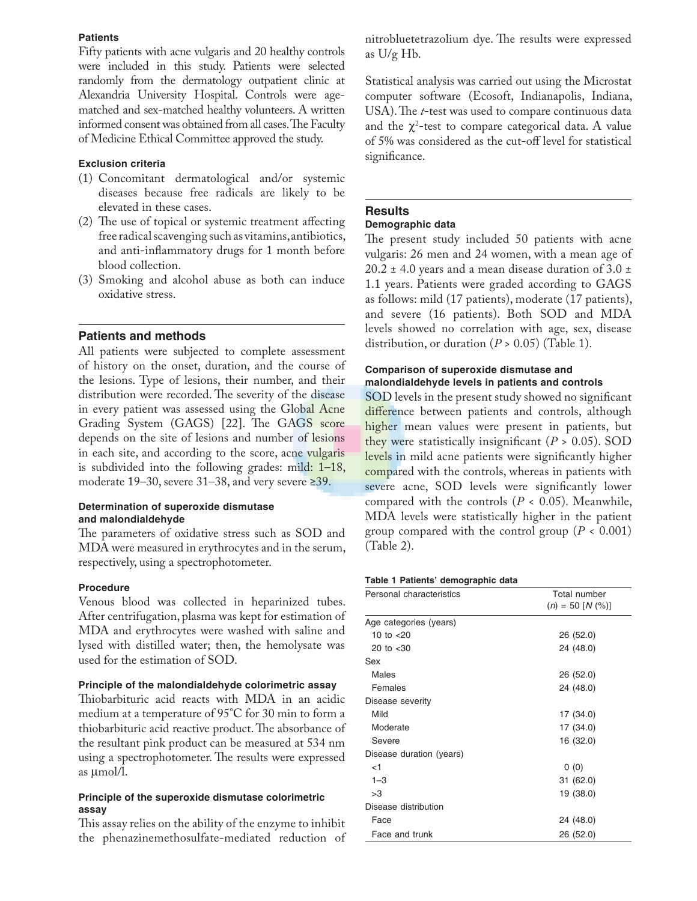# **Patients**

Fifty patients with acne vulgaris and 20 healthy controls were included in this study. Patients were selected randomly from the dermatology outpatient clinic at Alexandria University Hospital. Controls were agematched and sex-matched healthy volunteers. A written informed consent was obtained from all cases. The Faculty of Medicine Ethical Committee approved the study.

### **Exclusion criteria**

- (1) Concomitant dermatological and/or systemic diseases because free radicals are likely to be elevated in these cases.
- $(2)$  The use of topical or systemic treatment affecting free radical scavenging such as vitamins, antibiotics, and anti-infammatory drugs for 1 month before blood collection.
- (3) Smoking and alcohol abuse as both can induce oxidative stress.

# **Patients and methods**

All patients were subjected to complete assessment of history on the onset, duration, and the course of the lesions. Type of lesions, their number, and their distribution were recorded. The severity of the disease in every patient was assessed using the Global Acne Grading System (GAGS) [22]. The GAGS score depends on the site of lesions and number of lesions in each site, and according to the score, acne vulgaris is subdivided into the following grades: mild: 1–18, moderate 19–30, severe 31–38, and very severe ≥39.

### **Determination of superoxide dismutase and malondialdehyde**

The parameters of oxidative stress such as SOD and MDA were measured in erythrocytes and in the serum, respectively, using a spectrophotometer.

### **Procedure**

Venous blood was collected in heparinized tubes. After centrifugation, plasma was kept for estimation of MDA and erythrocytes were washed with saline and lysed with distilled water; then, the hemolysate was used for the estimation of SOD.

### **Principle of the malondialdehyde colorimetric assay**

Thiobarbituric acid reacts with MDA in an acidic medium at a temperature of 95°C for 30 min to form a thiobarbituric acid reactive product. The absorbance of the resultant pink product can be measured at 534 nm using a spectrophotometer. The results were expressed as µmol/l.

### **Principle of the superoxide dismutase colorimetric assay**

This assay relies on the ability of the enzyme to inhibit the phenazinemethosulfate-mediated reduction of nitrobluetetrazolium dye. The results were expressed as U/g Hb.

Statistical analysis was carried out using the Microstat computer software (Ecosoft, Indianapolis, Indiana, USA). The *t*-test was used to compare continuous data and the  $\chi^2$ -test to compare categorical data. A value of 5% was considered as the cut-of level for statistical significance.

# **Results**

# **Demographic data**

The present study included 50 patients with acne vulgaris: 26 men and 24 women, with a mean age of 20.2  $\pm$  4.0 years and a mean disease duration of 3.0  $\pm$ 1.1 years. Patients were graded according to GAGS as follows: mild (17 patients), moderate (17 patients), and severe (16 patients). Both SOD and MDA levels showed no correlation with age, sex, disease distribution, or duration  $(P > 0.05)$  (Table 1).

# **Comparison of superoxide dismutase and malondialdehyde levels in patients and controls**

SOD levels in the present study showed no signifcant difference between patients and controls, although higher mean values were present in patients, but they were statistically insignificant  $(P > 0.05)$ . SOD levels in mild acne patients were significantly higher compared with the controls, whereas in patients with severe acne, SOD levels were signifcantly lower compared with the controls  $(P < 0.05)$ . Meanwhile, MDA levels were statistically higher in the patient group compared with the control group (*P* < 0.001) (Table 2).

### **Table 1 Patients' demographic data**

| Personal characteristics | Total number           |  |
|--------------------------|------------------------|--|
|                          | $(n) = 50$ [N $(\%)$ ] |  |
| Age categories (years)   |                        |  |
| 10 to $<$ 20             | 26 (52.0)              |  |
| 20 to $<$ 30             | 24 (48.0)              |  |
| Sex                      |                        |  |
| Males                    | 26 (52.0)              |  |
| Females                  | 24 (48.0)              |  |
| Disease severity         |                        |  |
| Mild                     | 17 (34.0)              |  |
| Moderate                 | 17 (34.0)              |  |
| Severe                   | 16 (32.0)              |  |
| Disease duration (years) |                        |  |
| $<$ 1                    | 0(0)                   |  |
| $1 - 3$                  | 31 (62.0)              |  |
| >3                       | 19 (38.0)              |  |
| Disease distribution     |                        |  |
| Face                     | 24 (48.0)              |  |
| Face and trunk           | 26 (52.0)              |  |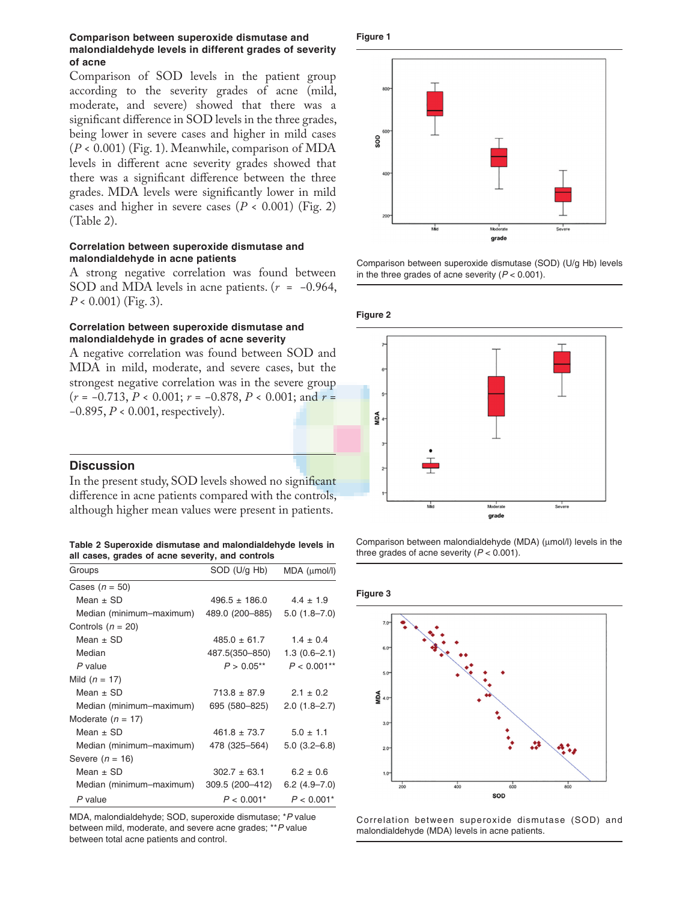### **Comparison between superoxide dismutase and malondialdehyde levels in different grades of severity of acne**

Comparison of SOD levels in the patient group according to the severity grades of acne (mild, moderate, and severe) showed that there was a signifcant diference in SOD levels in the three grades, being lower in severe cases and higher in mild cases (*P* < 0.001) (Fig. 1). Meanwhile, comparison of MDA levels in diferent acne severity grades showed that there was a signifcant diference between the three grades. MDA levels were signifcantly lower in mild cases and higher in severe cases  $(P < 0.001)$  (Fig. 2) (Table 2).

### **Correlation between superoxide dismutase and malondialdehyde in acne patients**

A strong negative correlation was found between SOD and MDA levels in acne patients. (*r* = −0.964, *P* < 0.001) (Fig. 3).

### **Correlation between superoxide dismutase and malondialdehyde in grades of acne severity**

A negative correlation was found between SOD and MDA in mild, moderate, and severe cases, but the strongest negative correlation was in the severe group (*r* = −0.713, *P* < 0.001; *r* = −0.878, *P* < 0.001; and *r* = −0.895, *P* < 0.001, respectively).

### **Discussion**

In the present study, SOD levels showed no significant diference in acne patients compared with the controls, although higher mean values were present in patients.

**Table 2 Superoxide dismutase and malondialdehyde levels in all cases, grades of acne severity, and controls**

| Groups                   | SOD (U/g Hb)      | $MDA$ ( $\mu$ mol/l) |
|--------------------------|-------------------|----------------------|
| Cases $(n = 50)$         |                   |                      |
| Mean $\pm$ SD            | $496.5 \pm 186.0$ | $4.4 \pm 1.9$        |
| Median (minimum-maximum) | 489.0 (200–885)   | $5.0(1.8 - 7.0)$     |
| Controls $(n = 20)$      |                   |                      |
| Mean $\pm$ SD            | $485.0 \pm 61.7$  | $1.4 \pm 0.4$        |
| Median                   | 487.5(350–850)    | $1.3(0.6 - 2.1)$     |
| P value                  | $P > 0.05***$     | $P < 0.001**$        |
| Mild $(n = 17)$          |                   |                      |
| Mean $\pm$ SD            | $713.8 \pm 87.9$  | $2.1 \pm 0.2$        |
| Median (minimum-maximum) | 695 (580-825)     | $2.0(1.8-2.7)$       |
| Moderate $(n = 17)$      |                   |                      |
| Mean $\pm$ SD            | $461.8 \pm 73.7$  | $5.0 \pm 1.1$        |
| Median (minimum-maximum) | 478 (325–564)     | $5.0(3.2 - 6.8)$     |
| Severe $(n = 16)$        |                   |                      |
| Mean $\pm$ SD            | $302.7 \pm 63.1$  | $6.2 \pm 0.6$        |
| Median (minimum-maximum) | 309.5 (200-412)   | $6.2(4.9 - 7.0)$     |
| P value                  | $P < 0.001*$      | $P < 0.001*$         |

MDA, malondialdehyde; SOD, superoxide dismutase; \*P value between mild, moderate, and severe acne grades; \*\*P value between total acne patients and control.





Comparison between superoxide dismutase (SOD) (U/g Hb) levels in the three grades of acne severity  $(P < 0.001)$ .

**Figure 2**



Comparison between malondialdehyde (MDA) (µmol/l) levels in the three grades of acne severity  $(P < 0.001)$ .

### **Figure 3**



Correlation between superoxide dismutase (SOD) and malondialdehyde (MDA) levels in acne patients.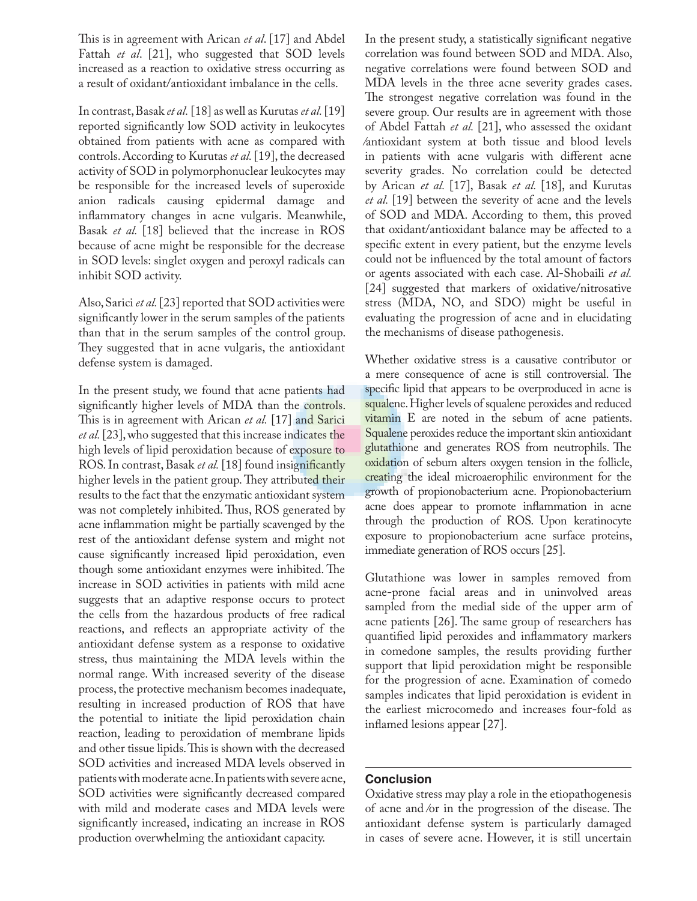This is in agreement with Arican *et al*. [17] and Abdel Fattah *et al*. [21], who suggested that SOD levels increased as a reaction to oxidative stress occurring as a result of oxidant/antioxidant imbalance in the cells.

In contrast, Basak *et al.* [18] as well as Kurutas *et al.* [19] reported signifcantly low SOD activity in leukocytes obtained from patients with acne as compared with controls. According to Kurutas *et al.* [19], the decreased activity of SOD in polymorphonuclear leukocytes may be responsible for the increased levels of superoxide anion radicals causing epidermal damage and infammatory changes in acne vulgaris. Meanwhile, Basak *et al.* [18] believed that the increase in ROS because of acne might be responsible for the decrease in SOD levels: singlet oxygen and peroxyl radicals can inhibit SOD activity.

Also, Sarici *et al.* [23] reported that SOD activities were signifcantly lower in the serum samples of the patients than that in the serum samples of the control group. They suggested that in acne vulgaris, the antioxidant defense system is damaged.

In the present study, we found that acne patients had signifcantly higher levels of MDA than the controls. This is in agreement with Arican *et al.* [17] and Sarici *et al.* [23], who suggested that this increase indicates the high levels of lipid peroxidation because of exposure to ROS. In contrast, Basak *et al.* [18] found insignificantly higher levels in the patient group. They attributed their results to the fact that the enzymatic antioxidant system was not completely inhibited. Thus, ROS generated by acne infammation might be partially scavenged by the rest of the antioxidant defense system and might not cause signifcantly increased lipid peroxidation, even though some antioxidant enzymes were inhibited. The increase in SOD activities in patients with mild acne suggests that an adaptive response occurs to protect the cells from the hazardous products of free radical reactions, and refects an appropriate activity of the antioxidant defense system as a response to oxidative stress, thus maintaining the MDA levels within the normal range. With increased severity of the disease process, the protective mechanism becomes inadequate, resulting in increased production of ROS that have the potential to initiate the lipid peroxidation chain reaction, leading to peroxidation of membrane lipids and other tissue lipids. This is shown with the decreased SOD activities and increased MDA levels observed in patients with moderate acne. In patients with severe acne, SOD activities were signifcantly decreased compared with mild and moderate cases and MDA levels were signifcantly increased, indicating an increase in ROS production overwhelming the antioxidant capacity.

In the present study, a statistically signifcant negative correlation was found between SOD and MDA. Also, negative correlations were found between SOD and MDA levels in the three acne severity grades cases. The strongest negative correlation was found in the severe group. Our results are in agreement with those of Abdel Fattah *et al.* [21], who assessed the oxidant ⁄antioxidant system at both tissue and blood levels in patients with acne vulgaris with diferent acne severity grades. No correlation could be detected by Arican *et al.* [17], Basak *et al.* [18], and Kurutas *et al.* [19] between the severity of acne and the levels of SOD and MDA. According to them, this proved that oxidant/antioxidant balance may be afected to a specifc extent in every patient, but the enzyme levels could not be infuenced by the total amount of factors or agents associated with each case. Al-Shobaili *et al.*  [24] suggested that markers of oxidative/nitrosative stress (MDA, NO, and SDO) might be useful in evaluating the progression of acne and in elucidating the mechanisms of disease pathogenesis.

Whether oxidative stress is a causative contributor or a mere consequence of acne is still controversial. The specifc lipid that appears to be overproduced in acne is squalene. Higher levels of squalene peroxides and reduced vitamin E are noted in the sebum of acne patients. Squalene peroxides reduce the important skin antioxidant glutathione and generates ROS from neutrophils. The oxidation of sebum alters oxygen tension in the follicle, creating the ideal microaerophilic environment for the growth of propionobacterium acne. Propionobacterium acne does appear to promote infammation in acne through the production of ROS. Upon keratinocyte exposure to propionobacterium acne surface proteins, immediate generation of ROS occurs [25].

Glutathione was lower in samples removed from acne-prone facial areas and in uninvolved areas sampled from the medial side of the upper arm of acne patients [26]. The same group of researchers has quantifed lipid peroxides and infammatory markers in comedone samples, the results providing further support that lipid peroxidation might be responsible for the progression of acne. Examination of comedo samples indicates that lipid peroxidation is evident in the earliest microcomedo and increases four-fold as infamed lesions appear [27].

# **Conclusion**

Oxidative stress may play a role in the etiopathogenesis of acne and  $\ell$ or in the progression of the disease. The antioxidant defense system is particularly damaged in cases of severe acne. However, it is still uncertain